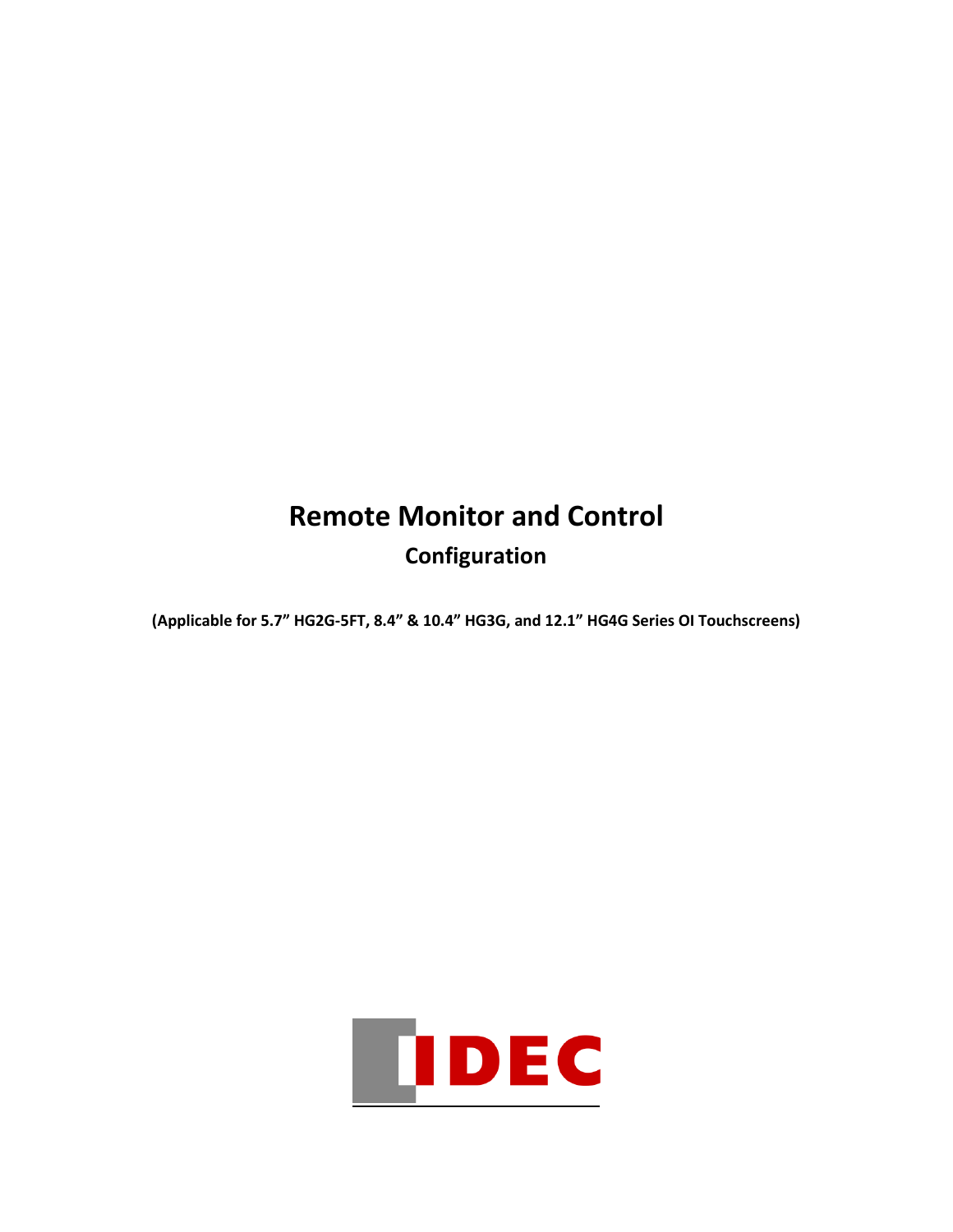# **Remote Monitor and Control Configuration**

**(Applicable for 5.7" HG2G-5FT, 8.4" & 10.4" HG3G, and 12.1" HG4G Series OI Touchscreens)** 

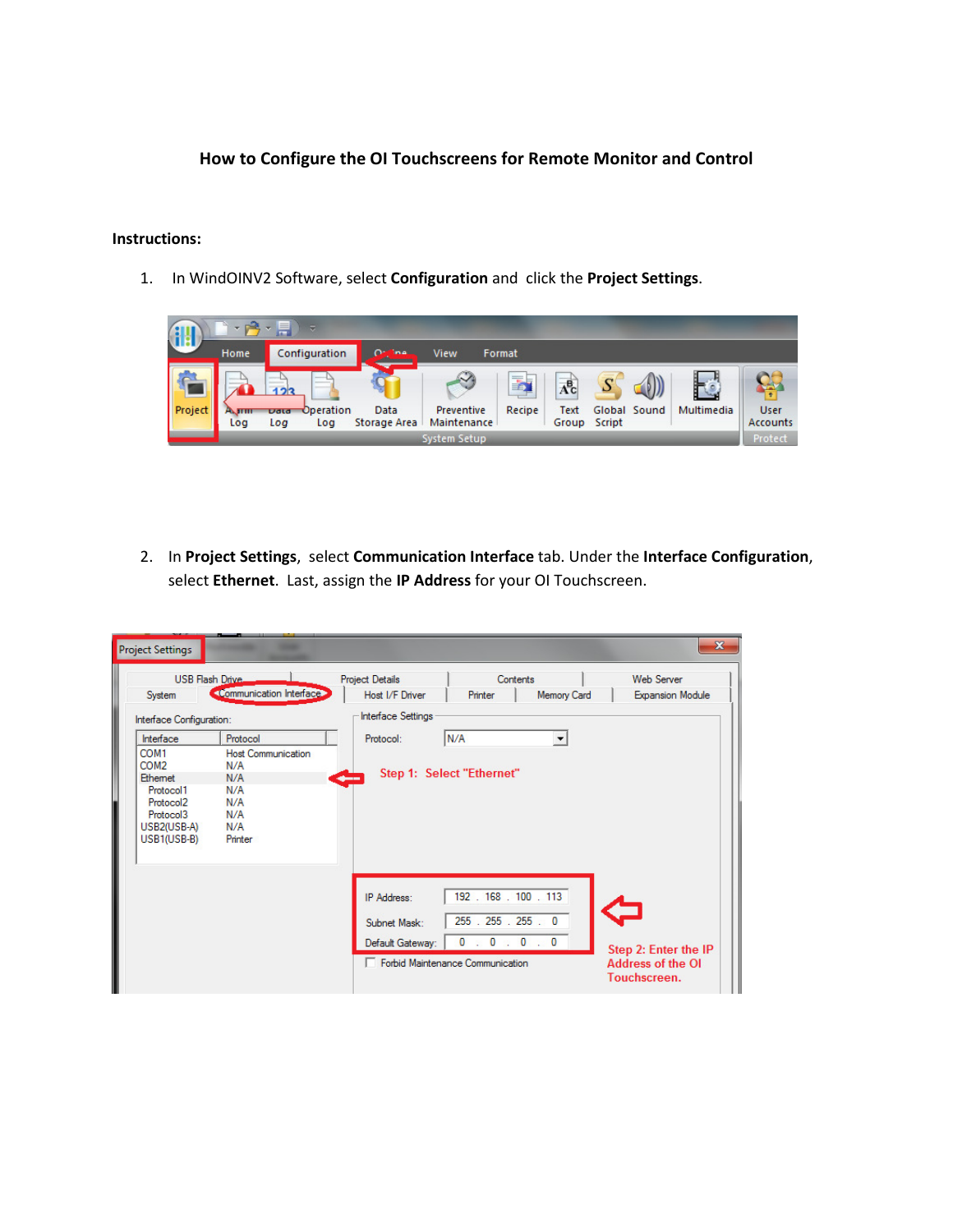### **How to Configure the OI Touchscreens for Remote Monitor and Control**

#### **Instructions:**

1. In WindOINV2 Software, select **Configuration** and click the **Project Settings**.



2. In **Project Settings**, select **Communication Interface** tab. Under the **Interface Configuration**, select **Ethernet**. Last, assign the **IP Address** for your OI Touchscreen.

| <b>Project Settings</b>                                                                                                                                              |                                                                                            |                                                  |                                                                                          |                    | $\mathbf{x}$                                                     |
|----------------------------------------------------------------------------------------------------------------------------------------------------------------------|--------------------------------------------------------------------------------------------|--------------------------------------------------|------------------------------------------------------------------------------------------|--------------------|------------------------------------------------------------------|
| System                                                                                                                                                               | <b>USB Flash Drive.</b><br><communication interface=""></communication>                    | <b>Project Details</b><br>Host I/F Driver        | Contents<br>Printer                                                                      | <b>Memory Card</b> | <b>Web Server</b><br><b>Expansion Module</b>                     |
| Interface Configuration:<br>Interface<br>COM1<br>COM <sub>2</sub><br><b>Ethemet</b><br>Protocol1<br>Protocol <sub>2</sub><br>Protocol3<br>USB2(USB-A)<br>USB1(USB-B) | Protocol<br><b>Host Communication</b><br>N/A<br>N/A<br>N/A<br>N/A<br>N/A<br>N/A<br>Printer | Interface Settings<br>Protocol:<br>$\frac{1}{2}$ | N/A<br>Step 1: Select "Ethernet"                                                         |                    |                                                                  |
|                                                                                                                                                                      |                                                                                            | IP Address:<br>Subnet Mask:<br>Default Gateway:  | 192.168.100.113<br>255 . 255 . 255 . 0<br>0: 0: 0: 0<br>Forbid Maintenance Communication |                    | Step 2: Enter the IP<br><b>Address of the OI</b><br>Touchscreen. |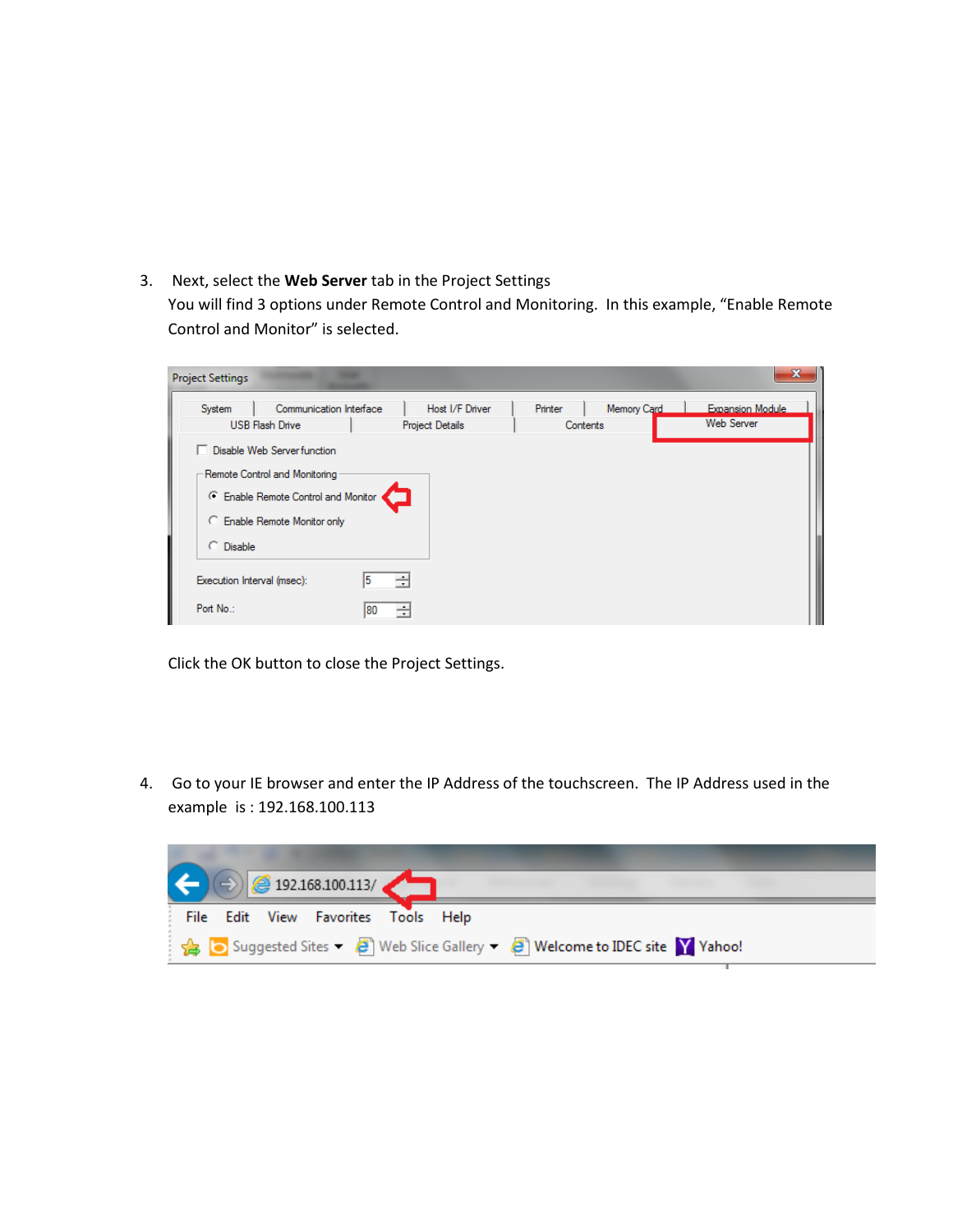3. Next, select the **Web Server** tab in the Project Settings

You will find 3 options under Remote Control and Monitoring. In this example, "Enable Remote Control and Monitor" is selected.

| <b>USB Flash Drive</b><br>□ Disable Web Server function<br>- Remote Control and Monitoring | C Enable Remote Control and Monitor |          | <b>Project Details</b> | Contents |  | Web Server |
|--------------------------------------------------------------------------------------------|-------------------------------------|----------|------------------------|----------|--|------------|
|                                                                                            |                                     |          |                        |          |  |            |
|                                                                                            |                                     |          |                        |          |  |            |
|                                                                                            |                                     |          |                        |          |  |            |
|                                                                                            |                                     |          |                        |          |  |            |
|                                                                                            |                                     |          |                        |          |  |            |
|                                                                                            | C Enable Remote Monitor only        |          |                        |          |  |            |
| C Disable                                                                                  |                                     |          |                        |          |  |            |
|                                                                                            |                                     |          |                        |          |  |            |
| Execution Interval (msec):                                                                 |                                     | ÷        |                        |          |  |            |
| Port No.:                                                                                  |                                     | ÷<br>180 |                        |          |  |            |

Click the OK button to close the Project Settings.

4. Go to your IE browser and enter the IP Address of the touchscreen. The IP Address used in the example is : 192.168.100.113

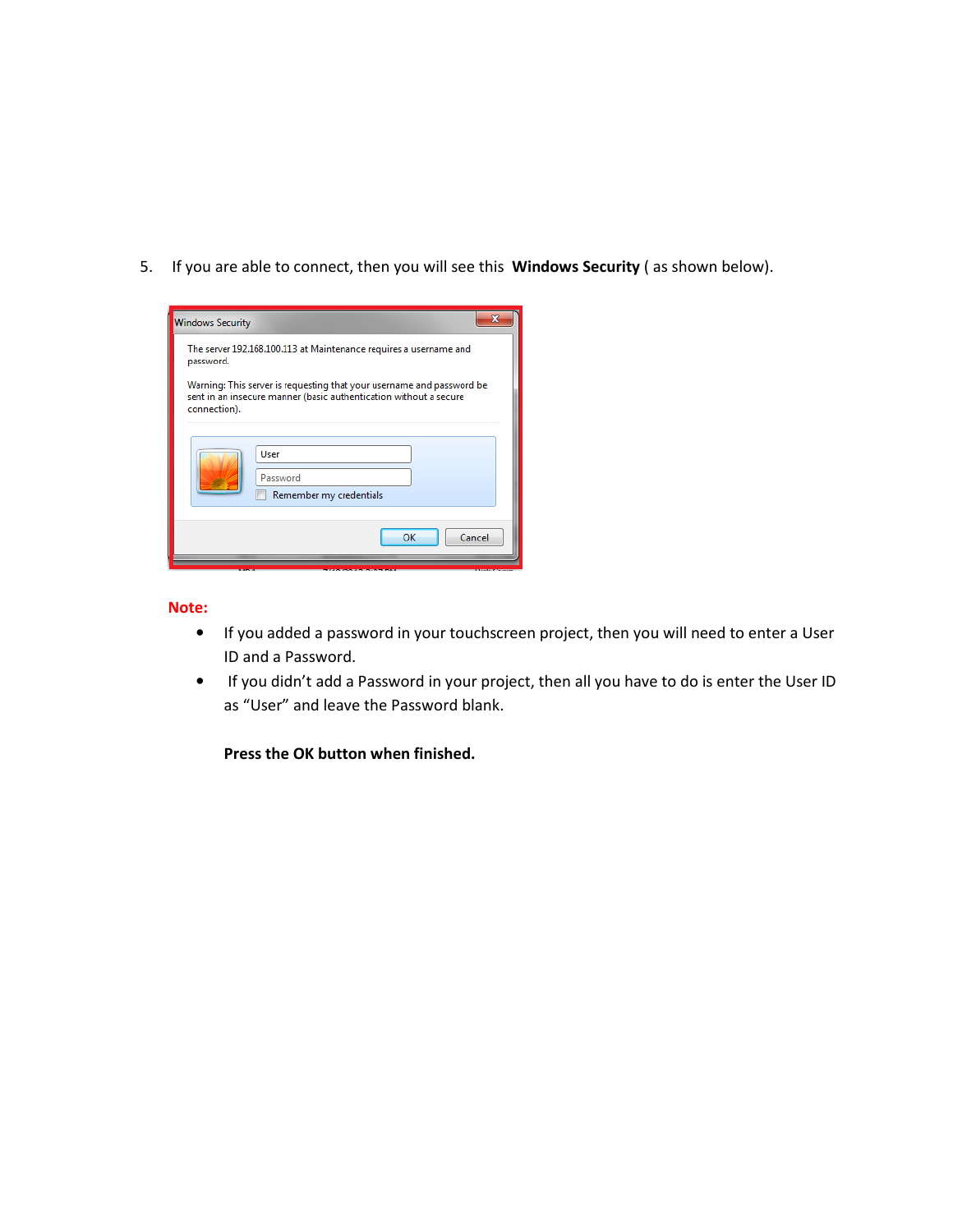5. If you are able to connect, then you will see this **Windows Security** ( as shown below).

| password.    | The server 192.168.100.113 at Maintenance requires a username and                                                                          |
|--------------|--------------------------------------------------------------------------------------------------------------------------------------------|
| connection). | Warning: This server is requesting that your username and password be<br>sent in an insecure manner (basic authentication without a secure |
|              | User                                                                                                                                       |
|              | Password                                                                                                                                   |

#### **Note:**

- If you added a password in your touchscreen project, then you will need to enter a User ID and a Password.
- If you didn't add a Password in your project, then all you have to do is enter the User ID as "User" and leave the Password blank.

**Press the OK button when finished.**